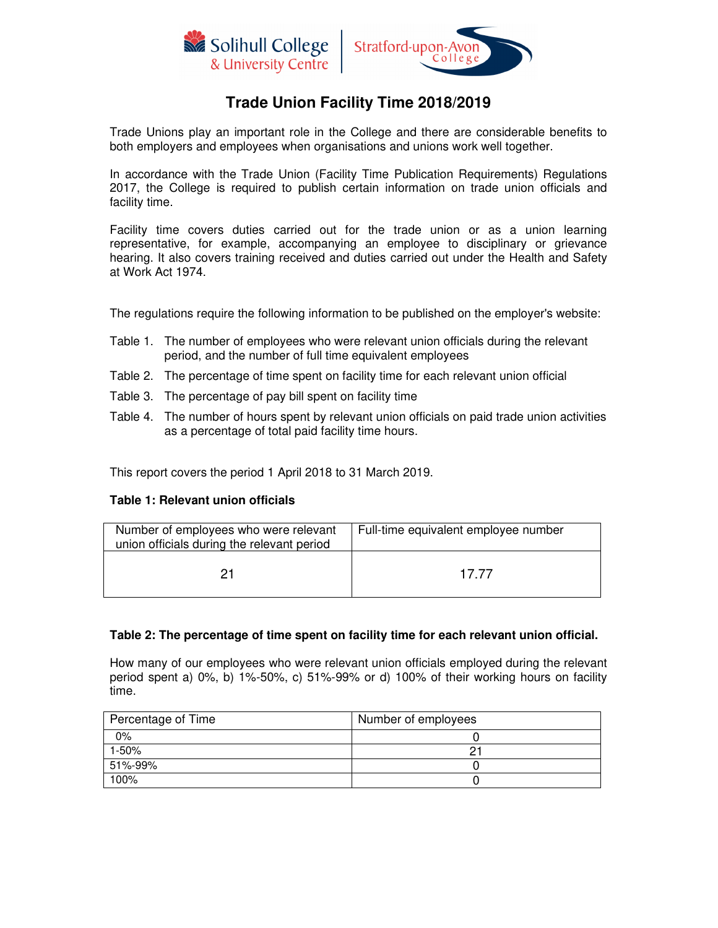



# **Trade Union Facility Time 2018/2019**

Trade Unions play an important role in the College and there are considerable benefits to both employers and employees when organisations and unions work well together.

In accordance with the Trade Union (Facility Time Publication Requirements) Regulations 2017, the College is required to publish certain information on trade union officials and facility time.

Facility time covers duties carried out for the trade union or as a union learning representative, for example, accompanying an employee to disciplinary or grievance hearing. It also covers training received and duties carried out under the Health and Safety at Work Act 1974.

The regulations require the following information to be published on the employer's website:

- Table 1. The number of employees who were relevant union officials during the relevant period, and the number of full time equivalent employees
- Table 2. The percentage of time spent on facility time for each relevant union official
- Table 3. The percentage of pay bill spent on facility time
- Table 4. The number of hours spent by relevant union officials on paid trade union activities as a percentage of total paid facility time hours.

This report covers the period 1 April 2018 to 31 March 2019.

#### **Table 1: Relevant union officials**

| Number of employees who were relevant<br>union officials during the relevant period | Full-time equivalent employee number |  |
|-------------------------------------------------------------------------------------|--------------------------------------|--|
| 21                                                                                  | 17 77                                |  |

# **Table 2: The percentage of time spent on facility time for each relevant union official.**

How many of our employees who were relevant union officials employed during the relevant period spent a) 0%, b) 1%-50%, c) 51%-99% or d) 100% of their working hours on facility time.

| Percentage of Time | Number of employees |
|--------------------|---------------------|
| 0%                 |                     |
| 1-50%              |                     |
| 51%-99%            |                     |
| 100%               |                     |